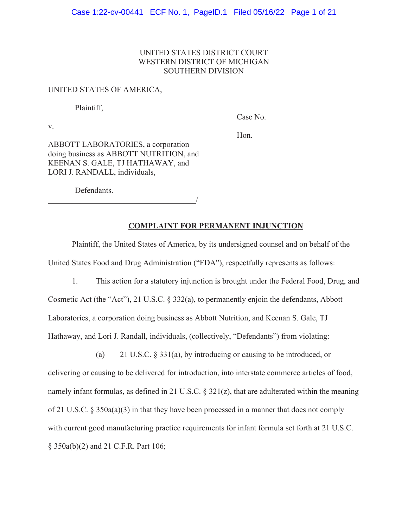# UNITED STATES DISTRICT COURT WESTERN DISTRICT OF MICHIGAN SOUTHERN DIVISION

#### UNITED STATES OF AMERICA,

Plaintiff,

v.

Case No.

Hon.

ABBOTT LABORATORIES, a corporation doing business as ABBOTT NUTRITION, and KEENAN S. GALE, TJ HATHAWAY, and LORI J. RANDALL, individuals,

Defendants.

 $\overline{\phantom{a}}$ 

## **COMPLAINT FOR PERMANENT INJUNCTION**

Plaintiff, the United States of America, by its undersigned counsel and on behalf of the United States Food and Drug Administration ("FDA"), respectfully represents as follows:

1. This action for a statutory injunction is brought under the Federal Food, Drug, and Cosmetic Act (the "Act"), 21 U.S.C. § 332(a), to permanently enjoin the defendants, Abbott Laboratories, a corporation doing business as Abbott Nutrition, and Keenan S. Gale, TJ Hathaway, and Lori J. Randall, individuals, (collectively, "Defendants") from violating:

(a) 21 U.S.C. § 331(a), by introducing or causing to be introduced, or delivering or causing to be delivered for introduction, into interstate commerce articles of food, namely infant formulas, as defined in 21 U.S.C. § 321(z), that are adulterated within the meaning of 21 U.S.C. § 350a(a)(3) in that they have been processed in a manner that does not comply with current good manufacturing practice requirements for infant formula set forth at 21 U.S.C. § 350a(b)(2) and 21 C.F.R. Part 106;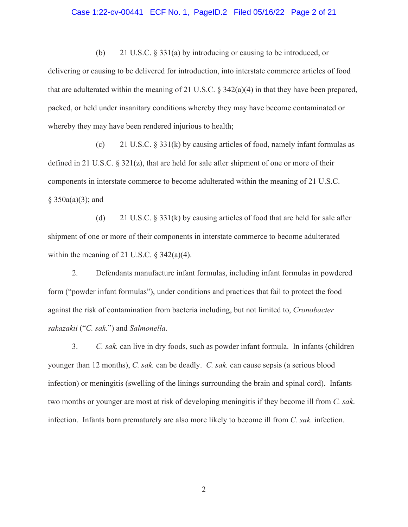## Case 1:22-cv-00441 ECF No. 1, PageID.2 Filed 05/16/22 Page 2 of 21

(b) 21 U.S.C. § 331(a) by introducing or causing to be introduced, or delivering or causing to be delivered for introduction, into interstate commerce articles of food that are adulterated within the meaning of 21 U.S.C. § 342(a)(4) in that they have been prepared, packed, or held under insanitary conditions whereby they may have become contaminated or whereby they may have been rendered injurious to health;

(c) 21 U.S.C.  $\S 331(k)$  by causing articles of food, namely infant formulas as defined in 21 U.S.C. § 321(z), that are held for sale after shipment of one or more of their components in interstate commerce to become adulterated within the meaning of 21 U.S.C.  $§ 350a(a)(3);$  and

(d) 21 U.S.C.  $\S 331(k)$  by causing articles of food that are held for sale after shipment of one or more of their components in interstate commerce to become adulterated within the meaning of 21 U.S.C.  $\S$  342(a)(4).

2. Defendants manufacture infant formulas, including infant formulas in powdered form ("powder infant formulas"), under conditions and practices that fail to protect the food against the risk of contamination from bacteria including, but not limited to, *Cronobacter sakazakii* ("*C. sak.*") and *Salmonella*.

3. *C. sak.* can live in dry foods, such as powder infant formula. In infants (children younger than 12 months), *C. sak.* can be deadly. *C. sak.* can cause sepsis (a serious blood infection) or meningitis (swelling of the linings surrounding the brain and spinal cord). Infants two months or younger are most at risk of developing meningitis if they become ill from *C. sak*. infection. Infants born prematurely are also more likely to become ill from *C. sak.* infection.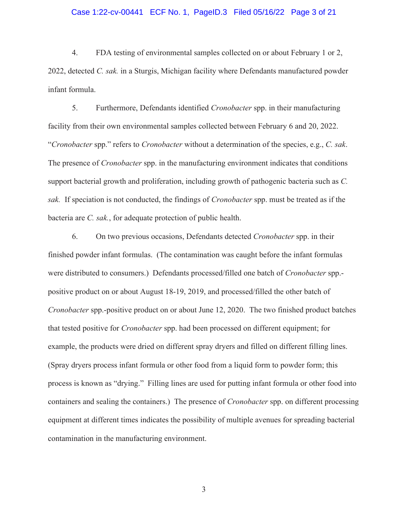# Case 1:22-cv-00441 ECF No. 1, PageID.3 Filed 05/16/22 Page 3 of 21

4. FDA testing of environmental samples collected on or about February 1 or 2, 2022, detected *C. sak.* in a Sturgis, Michigan facility where Defendants manufactured powder infant formula.

5. Furthermore, Defendants identified *Cronobacter* spp. in their manufacturing facility from their own environmental samples collected between February 6 and 20, 2022. "*Cronobacter* spp." refers to *Cronobacter* without a determination of the species, e.g., *C. sak*. The presence of *Cronobacter* spp. in the manufacturing environment indicates that conditions support bacterial growth and proliferation, including growth of pathogenic bacteria such as *C. sak.* If speciation is not conducted, the findings of *Cronobacter* spp. must be treated as if the bacteria are *C. sak.*, for adequate protection of public health.

6. On two previous occasions, Defendants detected *Cronobacter* spp. in their finished powder infant formulas. (The contamination was caught before the infant formulas were distributed to consumers.) Defendants processed/filled one batch of *Cronobacter* spp. positive product on or about August 18-19, 2019, and processed/filled the other batch of *Cronobacter* spp.-positive product on or about June 12, 2020. The two finished product batches that tested positive for *Cronobacter* spp. had been processed on different equipment; for example, the products were dried on different spray dryers and filled on different filling lines. (Spray dryers process infant formula or other food from a liquid form to powder form; this process is known as "drying." Filling lines are used for putting infant formula or other food into containers and sealing the containers.) The presence of *Cronobacter* spp. on different processing equipment at different times indicates the possibility of multiple avenues for spreading bacterial contamination in the manufacturing environment.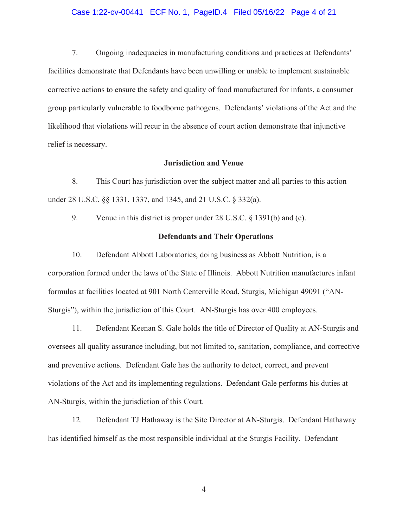## Case 1:22-cv-00441 ECF No. 1, PageID.4 Filed 05/16/22 Page 4 of 21

7. Ongoing inadequacies in manufacturing conditions and practices at Defendants' facilities demonstrate that Defendants have been unwilling or unable to implement sustainable corrective actions to ensure the safety and quality of food manufactured for infants, a consumer group particularly vulnerable to foodborne pathogens. Defendants' violations of the Act and the likelihood that violations will recur in the absence of court action demonstrate that injunctive relief is necessary.

#### **Jurisdiction and Venue**

8. This Court has jurisdiction over the subject matter and all parties to this action under 28 U.S.C. §§ 1331, 1337, and 1345, and 21 U.S.C. § 332(a).

9. Venue in this district is proper under 28 U.S.C. § 1391(b) and (c).

## **Defendants and Their Operations**

10. Defendant Abbott Laboratories, doing business as Abbott Nutrition, is a corporation formed under the laws of the State of Illinois. Abbott Nutrition manufactures infant formulas at facilities located at 901 North Centerville Road, Sturgis, Michigan 49091 ("AN-Sturgis"), within the jurisdiction of this Court. AN-Sturgis has over 400 employees.

11. Defendant Keenan S. Gale holds the title of Director of Quality at AN-Sturgis and oversees all quality assurance including, but not limited to, sanitation, compliance, and corrective and preventive actions. Defendant Gale has the authority to detect, correct, and prevent violations of the Act and its implementing regulations. Defendant Gale performs his duties at AN-Sturgis, within the jurisdiction of this Court.

12. Defendant TJ Hathaway is the Site Director at AN-Sturgis. Defendant Hathaway has identified himself as the most responsible individual at the Sturgis Facility. Defendant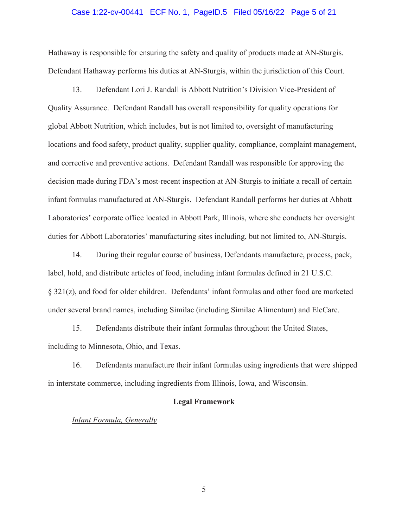## Case 1:22-cv-00441 ECF No. 1, PageID.5 Filed 05/16/22 Page 5 of 21

Hathaway is responsible for ensuring the safety and quality of products made at AN-Sturgis. Defendant Hathaway performs his duties at AN-Sturgis, within the jurisdiction of this Court.

13. Defendant Lori J. Randall is Abbott Nutrition's Division Vice-President of Quality Assurance. Defendant Randall has overall responsibility for quality operations for global Abbott Nutrition, which includes, but is not limited to, oversight of manufacturing locations and food safety, product quality, supplier quality, compliance, complaint management, and corrective and preventive actions. Defendant Randall was responsible for approving the decision made during FDA's most-recent inspection at AN-Sturgis to initiate a recall of certain infant formulas manufactured at AN-Sturgis. Defendant Randall performs her duties at Abbott Laboratories' corporate office located in Abbott Park, Illinois, where she conducts her oversight duties for Abbott Laboratories' manufacturing sites including, but not limited to, AN-Sturgis.

14. During their regular course of business, Defendants manufacture, process, pack, label, hold, and distribute articles of food, including infant formulas defined in 21 U.S.C. § 321(z), and food for older children. Defendants' infant formulas and other food are marketed under several brand names, including Similac (including Similac Alimentum) and EleCare.

15. Defendants distribute their infant formulas throughout the United States, including to Minnesota, Ohio, and Texas.

16. Defendants manufacture their infant formulas using ingredients that were shipped in interstate commerce, including ingredients from Illinois, Iowa, and Wisconsin.

# **Legal Framework**

#### *Infant Formula, Generally*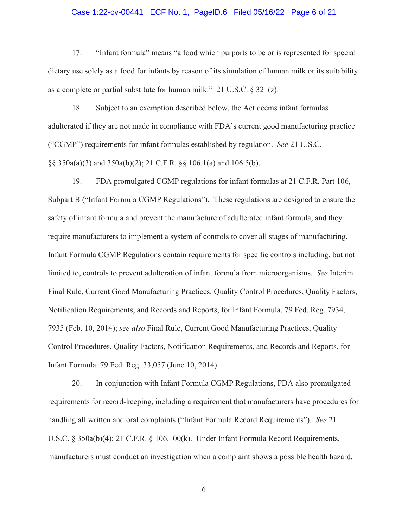## Case 1:22-cv-00441 ECF No. 1, PageID.6 Filed 05/16/22 Page 6 of 21

17. "Infant formula" means "a food which purports to be or is represented for special dietary use solely as a food for infants by reason of its simulation of human milk or its suitability as a complete or partial substitute for human milk." 21 U.S.C. § 321(z).

18. Subject to an exemption described below, the Act deems infant formulas adulterated if they are not made in compliance with FDA's current good manufacturing practice ("CGMP") requirements for infant formulas established by regulation. *See* 21 U.S.C. §§ 350a(a)(3) and 350a(b)(2); 21 C.F.R. §§ 106.1(a) and 106.5(b).

19. FDA promulgated CGMP regulations for infant formulas at 21 C.F.R. Part 106, Subpart B ("Infant Formula CGMP Regulations"). These regulations are designed to ensure the safety of infant formula and prevent the manufacture of adulterated infant formula, and they require manufacturers to implement a system of controls to cover all stages of manufacturing. Infant Formula CGMP Regulations contain requirements for specific controls including, but not limited to, controls to prevent adulteration of infant formula from microorganisms. *See* Interim Final Rule, Current Good Manufacturing Practices, Quality Control Procedures, Quality Factors, Notification Requirements, and Records and Reports, for Infant Formula. 79 Fed. Reg. 7934, 7935 (Feb. 10, 2014); *see also* Final Rule, Current Good Manufacturing Practices, Quality Control Procedures, Quality Factors, Notification Requirements, and Records and Reports, for Infant Formula. 79 Fed. Reg. 33,057 (June 10, 2014).

20. In conjunction with Infant Formula CGMP Regulations, FDA also promulgated requirements for record-keeping, including a requirement that manufacturers have procedures for handling all written and oral complaints ("Infant Formula Record Requirements"). *See* 21 U.S.C. § 350a(b)(4); 21 C.F.R. § 106.100(k). Under Infant Formula Record Requirements, manufacturers must conduct an investigation when a complaint shows a possible health hazard.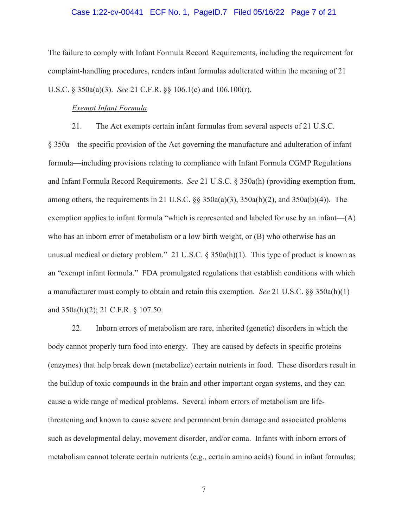# Case 1:22-cv-00441 ECF No. 1, PageID.7 Filed 05/16/22 Page 7 of 21

The failure to comply with Infant Formula Record Requirements, including the requirement for complaint-handling procedures, renders infant formulas adulterated within the meaning of 21 U.S.C. § 350a(a)(3). *See* 21 C.F.R. §§ 106.1(c) and 106.100(r).

# *Exempt Infant Formula*

21. The Act exempts certain infant formulas from several aspects of 21 U.S.C.

§ 350a—the specific provision of the Act governing the manufacture and adulteration of infant formula—including provisions relating to compliance with Infant Formula CGMP Regulations and Infant Formula Record Requirements. *See* 21 U.S.C. § 350a(h) (providing exemption from, among others, the requirements in 21 U.S.C.  $\S$ § 350a(a)(3), 350a(b)(2), and 350a(b)(4)). The exemption applies to infant formula "which is represented and labeled for use by an infant— $(A)$ who has an inborn error of metabolism or a low birth weight, or (B) who otherwise has an unusual medical or dietary problem." 21 U.S.C.  $\S 350a(h)(1)$ . This type of product is known as an "exempt infant formula." FDA promulgated regulations that establish conditions with which a manufacturer must comply to obtain and retain this exemption. *See* 21 U.S.C. §§ 350a(h)(1) and 350a(h)(2); 21 C.F.R. § 107.50.

22. Inborn errors of metabolism are rare, inherited (genetic) disorders in which the body cannot properly turn food into energy. They are caused by defects in specific proteins (enzymes) that help break down (metabolize) certain nutrients in food.These disorders result in the buildup of toxic compounds in the brain and other important organ systems, and they can cause a wide range of medical problems. Several inborn errors of metabolism are lifethreatening and known to cause severe and permanent brain damage and associated problems such as developmental delay, movement disorder, and/or coma. Infants with inborn errors of metabolism cannot tolerate certain nutrients (e.g., certain amino acids) found in infant formulas;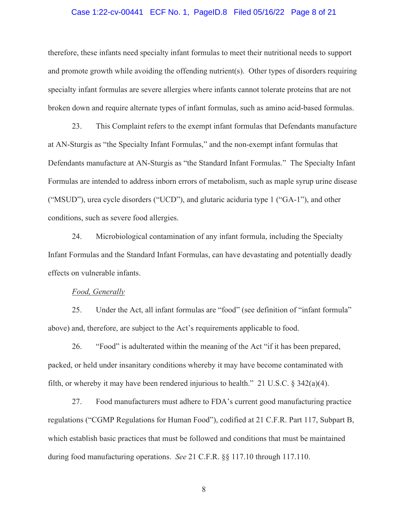## Case 1:22-cv-00441 ECF No. 1, PageID.8 Filed 05/16/22 Page 8 of 21

therefore, these infants need specialty infant formulas to meet their nutritional needs to support and promote growth while avoiding the offending nutrient(s). Other types of disorders requiring specialty infant formulas are severe allergies where infants cannot tolerate proteins that are not broken down and require alternate types of infant formulas, such as amino acid-based formulas.

23. This Complaint refers to the exempt infant formulas that Defendants manufacture at AN-Sturgis as "the Specialty Infant Formulas," and the non-exempt infant formulas that Defendants manufacture at AN-Sturgis as "the Standard Infant Formulas." The Specialty Infant Formulas are intended to address inborn errors of metabolism, such as maple syrup urine disease ("MSUD"), urea cycle disorders ("UCD"), and glutaric aciduria type 1 ("GA-1"), and other conditions, such as severe food allergies.

24. Microbiological contamination of any infant formula, including the Specialty Infant Formulas and the Standard Infant Formulas, can have devastating and potentially deadly effects on vulnerable infants.

#### *Food, Generally*

25. Under the Act, all infant formulas are "food" (see definition of "infant formula" above) and, therefore, are subject to the Act's requirements applicable to food.

26. "Food" is adulterated within the meaning of the Act "if it has been prepared, packed, or held under insanitary conditions whereby it may have become contaminated with filth, or whereby it may have been rendered injurious to health." 21 U.S.C.  $\S$  342(a)(4).

27. Food manufacturers must adhere to FDA's current good manufacturing practice regulations ("CGMP Regulations for Human Food"), codified at 21 C.F.R. Part 117, Subpart B, which establish basic practices that must be followed and conditions that must be maintained during food manufacturing operations. *See* 21 C.F.R. §§ 117.10 through 117.110.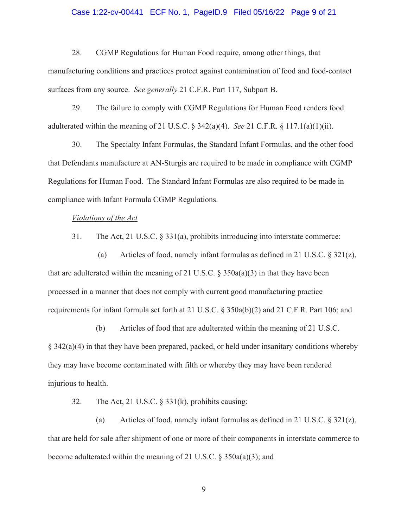## Case 1:22-cv-00441 ECF No. 1, PageID.9 Filed 05/16/22 Page 9 of 21

28. CGMP Regulations for Human Food require, among other things, that manufacturing conditions and practices protect against contamination of food and food-contact surfaces from any source. *See generally* 21 C.F.R. Part 117, Subpart B.

29. The failure to comply with CGMP Regulations for Human Food renders food adulterated within the meaning of 21 U.S.C. § 342(a)(4). *See* 21 C.F.R. § 117.1(a)(1)(ii).

30. The Specialty Infant Formulas, the Standard Infant Formulas, and the other food that Defendants manufacture at AN-Sturgis are required to be made in compliance with CGMP Regulations for Human Food. The Standard Infant Formulas are also required to be made in compliance with Infant Formula CGMP Regulations.

# *Violations of the Act*

31. The Act, 21 U.S.C. § 331(a), prohibits introducing into interstate commerce:

(a) Articles of food, namely infant formulas as defined in 21 U.S.C.  $\S 321(z)$ , that are adulterated within the meaning of 21 U.S.C.  $\S$  350a(a)(3) in that they have been processed in a manner that does not comply with current good manufacturing practice requirements for infant formula set forth at 21 U.S.C. § 350a(b)(2) and 21 C.F.R. Part 106; and

(b) Articles of food that are adulterated within the meaning of 21 U.S.C. § 342(a)(4) in that they have been prepared, packed, or held under insanitary conditions whereby they may have become contaminated with filth or whereby they may have been rendered injurious to health.

32. The Act, 21 U.S.C. § 331(k), prohibits causing:

(a) Articles of food, namely infant formulas as defined in 21 U.S.C. § 321(z), that are held for sale after shipment of one or more of their components in interstate commerce to become adulterated within the meaning of 21 U.S.C. § 350a(a)(3); and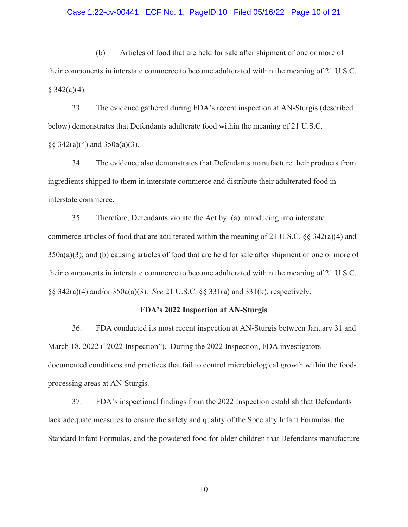#### Case 1:22-cv-00441 ECF No. 1, PageID.10 Filed 05/16/22 Page 10 of 21

(b) Articles of food that are held for sale after shipment of one or more of their components in interstate commerce to become adulterated within the meaning of 21 U.S.C.  $§$  342(a)(4).

33. The evidence gathered during FDA's recent inspection at AN-Sturgis (described below) demonstrates that Defendants adulterate food within the meaning of 21 U.S.C.  $\S$ § 342(a)(4) and 350a(a)(3).

34. The evidence also demonstrates that Defendants manufacture their products from ingredients shipped to them in interstate commerce and distribute their adulterated food in interstate commerce.

35. Therefore, Defendants violate the Act by: (a) introducing into interstate commerce articles of food that are adulterated within the meaning of 21 U.S.C.  $\S 342(a)(4)$  and 350a(a)(3); and (b) causing articles of food that are held for sale after shipment of one or more of their components in interstate commerce to become adulterated within the meaning of 21 U.S.C. §§ 342(a)(4) and/or 350a(a)(3). *See* 21 U.S.C. §§ 331(a) and 331(k), respectively.

#### **FDA's 2022 Inspection at AN-Sturgis**

36. FDA conducted its most recent inspection at AN-Sturgis between January 31 and March 18, 2022 ("2022 Inspection"). During the 2022 Inspection, FDA investigators documented conditions and practices that fail to control microbiological growth within the foodprocessing areas at AN-Sturgis.

37. FDA's inspectional findings from the 2022 Inspection establish that Defendants lack adequate measures to ensure the safety and quality of the Specialty Infant Formulas, the Standard Infant Formulas, and the powdered food for older children that Defendants manufacture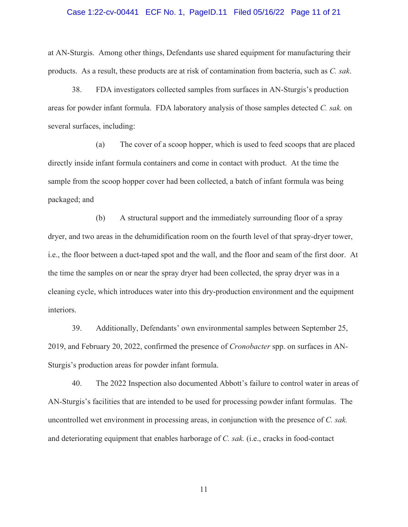#### Case 1:22-cv-00441 ECF No. 1, PageID.11 Filed 05/16/22 Page 11 of 21

at AN-Sturgis. Among other things, Defendants use shared equipment for manufacturing their products. As a result, these products are at risk of contamination from bacteria, such as *C. sak*.

38. FDA investigators collected samples from surfaces in AN-Sturgis's production areas for powder infant formula. FDA laboratory analysis of those samples detected *C. sak.* on several surfaces, including:

(a) The cover of a scoop hopper, which is used to feed scoops that are placed directly inside infant formula containers and come in contact with product. At the time the sample from the scoop hopper cover had been collected, a batch of infant formula was being packaged; and

(b) A structural support and the immediately surrounding floor of a spray dryer, and two areas in the dehumidification room on the fourth level of that spray-dryer tower, i.e., the floor between a duct-taped spot and the wall, and the floor and seam of the first door. At the time the samples on or near the spray dryer had been collected, the spray dryer was in a cleaning cycle, which introduces water into this dry-production environment and the equipment interiors.

39. Additionally, Defendants' own environmental samples between September 25, 2019, and February 20, 2022, confirmed the presence of *Cronobacter* spp. on surfaces in AN-Sturgis's production areas for powder infant formula.

40. The 2022 Inspection also documented Abbott's failure to control water in areas of AN-Sturgis's facilities that are intended to be used for processing powder infant formulas. The uncontrolled wet environment in processing areas, in conjunction with the presence of *C. sak.* and deteriorating equipment that enables harborage of *C. sak.* (i.e., cracks in food-contact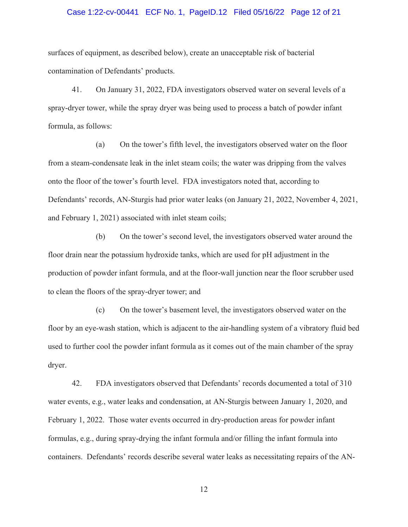## Case 1:22-cv-00441 ECF No. 1, PageID.12 Filed 05/16/22 Page 12 of 21

surfaces of equipment, as described below), create an unacceptable risk of bacterial contamination of Defendants' products.

41. On January 31, 2022, FDA investigators observed water on several levels of a spray-dryer tower, while the spray dryer was being used to process a batch of powder infant formula, as follows:

(a) On the tower's fifth level, the investigators observed water on the floor from a steam-condensate leak in the inlet steam coils; the water was dripping from the valves onto the floor of the tower's fourth level. FDA investigators noted that, according to Defendants' records, AN-Sturgis had prior water leaks (on January 21, 2022, November 4, 2021, and February 1, 2021) associated with inlet steam coils;

(b) On the tower's second level, the investigators observed water around the floor drain near the potassium hydroxide tanks, which are used for pH adjustment in the production of powder infant formula, and at the floor-wall junction near the floor scrubber used to clean the floors of the spray-dryer tower; and

(c) On the tower's basement level, the investigators observed water on the floor by an eye-wash station, which is adjacent to the air-handling system of a vibratory fluid bed used to further cool the powder infant formula as it comes out of the main chamber of the spray dryer.

42. FDA investigators observed that Defendants' records documented a total of 310 water events, e.g., water leaks and condensation, at AN-Sturgis between January 1, 2020, and February 1, 2022. Those water events occurred in dry-production areas for powder infant formulas, e.g., during spray-drying the infant formula and/or filling the infant formula into containers. Defendants' records describe several water leaks as necessitating repairs of the AN-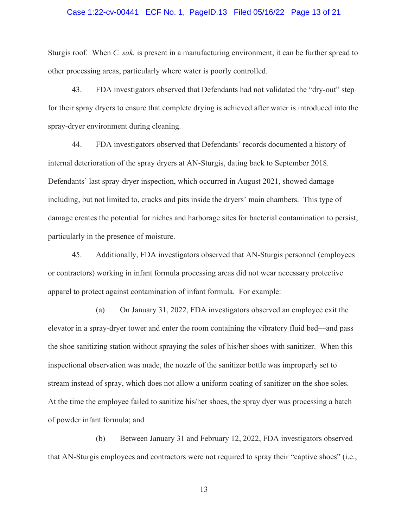#### Case 1:22-cv-00441 ECF No. 1, PageID.13 Filed 05/16/22 Page 13 of 21

Sturgis roof. When *C. sak.* is present in a manufacturing environment, it can be further spread to other processing areas, particularly where water is poorly controlled.

43. FDA investigators observed that Defendants had not validated the "dry-out" step for their spray dryers to ensure that complete drying is achieved after water is introduced into the spray-dryer environment during cleaning.

44. FDA investigators observed that Defendants' records documented a history of internal deterioration of the spray dryers at AN-Sturgis, dating back to September 2018. Defendants' last spray-dryer inspection, which occurred in August 2021, showed damage including, but not limited to, cracks and pits inside the dryers' main chambers. This type of damage creates the potential for niches and harborage sites for bacterial contamination to persist, particularly in the presence of moisture.

45. Additionally, FDA investigators observed that AN-Sturgis personnel (employees or contractors) working in infant formula processing areas did not wear necessary protective apparel to protect against contamination of infant formula. For example:

(a) On January 31, 2022, FDA investigators observed an employee exit the elevator in a spray-dryer tower and enter the room containing the vibratory fluid bed—and pass the shoe sanitizing station without spraying the soles of his/her shoes with sanitizer. When this inspectional observation was made, the nozzle of the sanitizer bottle was improperly set to stream instead of spray, which does not allow a uniform coating of sanitizer on the shoe soles. At the time the employee failed to sanitize his/her shoes, the spray dyer was processing a batch of powder infant formula; and

(b) Between January 31 and February 12, 2022, FDA investigators observed that AN-Sturgis employees and contractors were not required to spray their "captive shoes" (i.e.,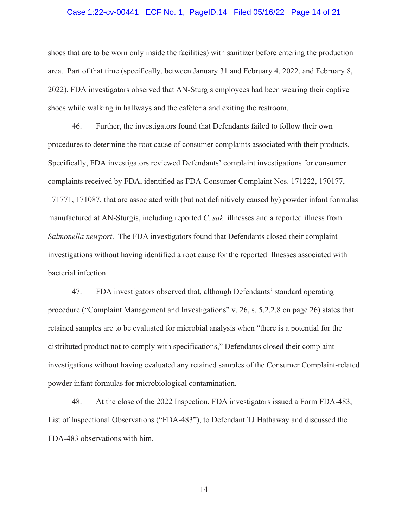#### Case 1:22-cv-00441 ECF No. 1, PageID.14 Filed 05/16/22 Page 14 of 21

shoes that are to be worn only inside the facilities) with sanitizer before entering the production area. Part of that time (specifically, between January 31 and February 4, 2022, and February 8, 2022), FDA investigators observed that AN-Sturgis employees had been wearing their captive shoes while walking in hallways and the cafeteria and exiting the restroom.

46. Further, the investigators found that Defendants failed to follow their own procedures to determine the root cause of consumer complaints associated with their products. Specifically, FDA investigators reviewed Defendants' complaint investigations for consumer complaints received by FDA, identified as FDA Consumer Complaint Nos. 171222, 170177, 171771, 171087, that are associated with (but not definitively caused by) powder infant formulas manufactured at AN-Sturgis, including reported *C. sak.* illnesses and a reported illness from *Salmonella newport*. The FDA investigators found that Defendants closed their complaint investigations without having identified a root cause for the reported illnesses associated with bacterial infection.

47. FDA investigators observed that, although Defendants' standard operating procedure ("Complaint Management and Investigations" v. 26, s. 5.2.2.8 on page 26) states that retained samples are to be evaluated for microbial analysis when "there is a potential for the distributed product not to comply with specifications," Defendants closed their complaint investigations without having evaluated any retained samples of the Consumer Complaint-related powder infant formulas for microbiological contamination.

48. At the close of the 2022 Inspection, FDA investigators issued a Form FDA-483, List of Inspectional Observations ("FDA-483"), to Defendant TJ Hathaway and discussed the FDA-483 observations with him.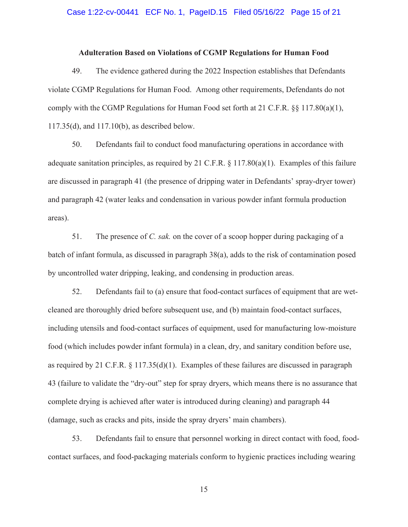## Case 1:22-cv-00441 ECF No. 1, PageID.15 Filed 05/16/22 Page 15 of 21

#### **Adulteration Based on Violations of CGMP Regulations for Human Food**

49. The evidence gathered during the 2022 Inspection establishes that Defendants violate CGMP Regulations for Human Food. Among other requirements, Defendants do not comply with the CGMP Regulations for Human Food set forth at 21 C.F.R.  $\S$ § 117.80(a)(1), 117.35(d), and 117.10(b), as described below.

50. Defendants fail to conduct food manufacturing operations in accordance with adequate sanitation principles, as required by 21 C.F.R. § 117.80(a)(1). Examples of this failure are discussed in paragraph 41 (the presence of dripping water in Defendants' spray-dryer tower) and paragraph 42 (water leaks and condensation in various powder infant formula production areas).

51. The presence of *C. sak.* on the cover of a scoop hopper during packaging of a batch of infant formula, as discussed in paragraph 38(a), adds to the risk of contamination posed by uncontrolled water dripping, leaking, and condensing in production areas.

52. Defendants fail to (a) ensure that food-contact surfaces of equipment that are wetcleaned are thoroughly dried before subsequent use, and (b) maintain food-contact surfaces, including utensils and food-contact surfaces of equipment, used for manufacturing low-moisture food (which includes powder infant formula) in a clean, dry, and sanitary condition before use, as required by 21 C.F.R. § 117.35(d)(1). Examples of these failures are discussed in paragraph 43 (failure to validate the "dry-out" step for spray dryers, which means there is no assurance that complete drying is achieved after water is introduced during cleaning) and paragraph 44 (damage, such as cracks and pits, inside the spray dryers' main chambers).

53. Defendants fail to ensure that personnel working in direct contact with food, foodcontact surfaces, and food-packaging materials conform to hygienic practices including wearing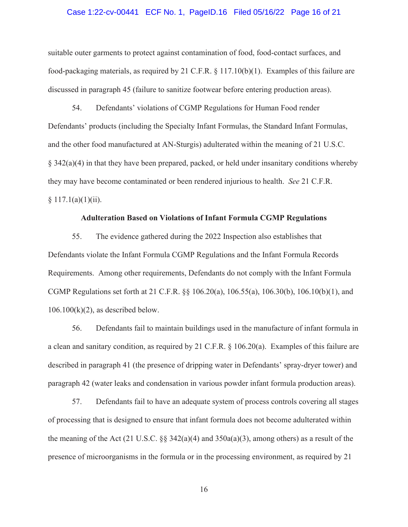#### Case 1:22-cv-00441 ECF No. 1, PageID.16 Filed 05/16/22 Page 16 of 21

suitable outer garments to protect against contamination of food, food-contact surfaces, and food-packaging materials, as required by 21 C.F.R. § 117.10(b)(1). Examples of this failure are discussed in paragraph 45 (failure to sanitize footwear before entering production areas).

54. Defendants' violations of CGMP Regulations for Human Food render Defendants' products (including the Specialty Infant Formulas, the Standard Infant Formulas, and the other food manufactured at AN-Sturgis) adulterated within the meaning of 21 U.S.C.  $\S$  342(a)(4) in that they have been prepared, packed, or held under insanitary conditions whereby they may have become contaminated or been rendered injurious to health. *See* 21 C.F.R.  $§ 117.1(a)(1)(ii).$ 

# **Adulteration Based on Violations of Infant Formula CGMP Regulations**

55. The evidence gathered during the 2022 Inspection also establishes that Defendants violate the Infant Formula CGMP Regulations and the Infant Formula Records Requirements. Among other requirements, Defendants do not comply with the Infant Formula CGMP Regulations set forth at 21 C.F.R. §§ 106.20(a), 106.55(a), 106.30(b), 106.10(b)(1), and  $106.100(k)(2)$ , as described below.

56. Defendants fail to maintain buildings used in the manufacture of infant formula in a clean and sanitary condition, as required by 21 C.F.R. § 106.20(a). Examples of this failure are described in paragraph 41 (the presence of dripping water in Defendants' spray-dryer tower) and paragraph 42 (water leaks and condensation in various powder infant formula production areas).

57. Defendants fail to have an adequate system of process controls covering all stages of processing that is designed to ensure that infant formula does not become adulterated within the meaning of the Act (21 U.S.C.  $\S$  342(a)(4) and 350a(a)(3), among others) as a result of the presence of microorganisms in the formula or in the processing environment, as required by 21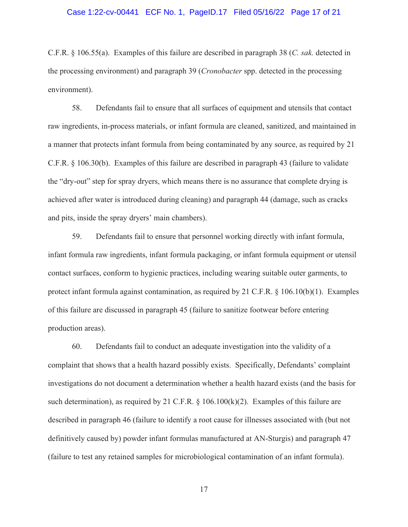#### Case 1:22-cv-00441 ECF No. 1, PageID.17 Filed 05/16/22 Page 17 of 21

C.F.R. § 106.55(a). Examples of this failure are described in paragraph 38 (*C. sak.* detected in the processing environment) and paragraph 39 (*Cronobacter* spp. detected in the processing environment).

58. Defendants fail to ensure that all surfaces of equipment and utensils that contact raw ingredients, in-process materials, or infant formula are cleaned, sanitized, and maintained in a manner that protects infant formula from being contaminated by any source, as required by 21 C.F.R. § 106.30(b). Examples of this failure are described in paragraph 43 (failure to validate the "dry-out" step for spray dryers, which means there is no assurance that complete drying is achieved after water is introduced during cleaning) and paragraph 44 (damage, such as cracks and pits, inside the spray dryers' main chambers).

59. Defendants fail to ensure that personnel working directly with infant formula, infant formula raw ingredients, infant formula packaging, or infant formula equipment or utensil contact surfaces, conform to hygienic practices, including wearing suitable outer garments, to protect infant formula against contamination, as required by 21 C.F.R. § 106.10(b)(1). Examples of this failure are discussed in paragraph 45 (failure to sanitize footwear before entering production areas).

60. Defendants fail to conduct an adequate investigation into the validity of a complaint that shows that a health hazard possibly exists. Specifically, Defendants' complaint investigations do not document a determination whether a health hazard exists (and the basis for such determination), as required by 21 C.F.R.  $\S$  106.100(k)(2). Examples of this failure are described in paragraph 46 (failure to identify a root cause for illnesses associated with (but not definitively caused by) powder infant formulas manufactured at AN-Sturgis) and paragraph 47 (failure to test any retained samples for microbiological contamination of an infant formula).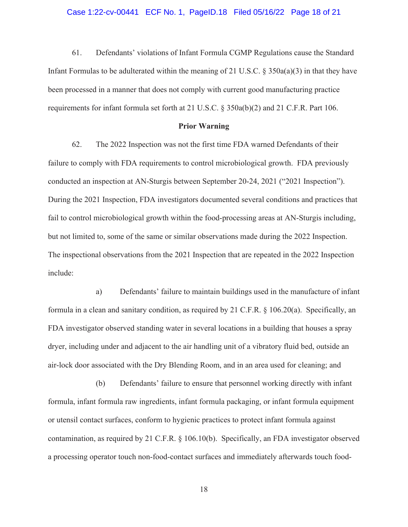#### Case 1:22-cv-00441 ECF No. 1, PageID.18 Filed 05/16/22 Page 18 of 21

61. Defendants' violations of Infant Formula CGMP Regulations cause the Standard Infant Formulas to be adulterated within the meaning of 21 U.S.C. § 350a(a)(3) in that they have been processed in a manner that does not comply with current good manufacturing practice requirements for infant formula set forth at 21 U.S.C. § 350a(b)(2) and 21 C.F.R. Part 106.

#### **Prior Warning**

62. The 2022 Inspection was not the first time FDA warned Defendants of their failure to comply with FDA requirements to control microbiological growth. FDA previously conducted an inspection at AN-Sturgis between September 20-24, 2021 ("2021 Inspection"). During the 2021 Inspection, FDA investigators documented several conditions and practices that fail to control microbiological growth within the food-processing areas at AN-Sturgis including, but not limited to, some of the same or similar observations made during the 2022 Inspection. The inspectional observations from the 2021 Inspection that are repeated in the 2022 Inspection include:

a) Defendants' failure to maintain buildings used in the manufacture of infant formula in a clean and sanitary condition, as required by 21 C.F.R. § 106.20(a). Specifically, an FDA investigator observed standing water in several locations in a building that houses a spray dryer, including under and adjacent to the air handling unit of a vibratory fluid bed, outside an air-lock door associated with the Dry Blending Room, and in an area used for cleaning; and

(b) Defendants' failure to ensure that personnel working directly with infant formula, infant formula raw ingredients, infant formula packaging, or infant formula equipment or utensil contact surfaces, conform to hygienic practices to protect infant formula against contamination, as required by 21 C.F.R. § 106.10(b). Specifically, an FDA investigator observed a processing operator touch non-food-contact surfaces and immediately afterwards touch food-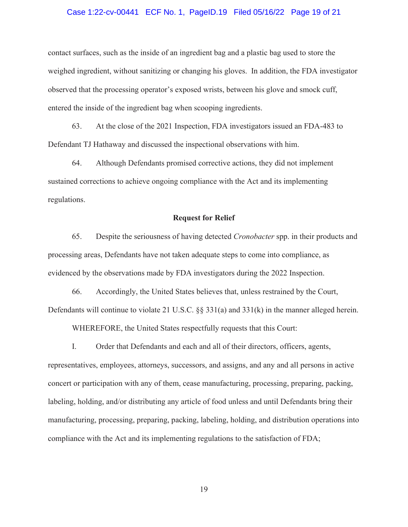#### Case 1:22-cv-00441 ECF No. 1, PageID.19 Filed 05/16/22 Page 19 of 21

contact surfaces, such as the inside of an ingredient bag and a plastic bag used to store the weighed ingredient, without sanitizing or changing his gloves. In addition, the FDA investigator observed that the processing operator's exposed wrists, between his glove and smock cuff, entered the inside of the ingredient bag when scooping ingredients.

63. At the close of the 2021 Inspection, FDA investigators issued an FDA-483 to Defendant TJ Hathaway and discussed the inspectional observations with him.

64. Although Defendants promised corrective actions, they did not implement sustained corrections to achieve ongoing compliance with the Act and its implementing regulations.

#### **Request for Relief**

65. Despite the seriousness of having detected *Cronobacter* spp. in their products and processing areas, Defendants have not taken adequate steps to come into compliance, as evidenced by the observations made by FDA investigators during the 2022 Inspection.

66. Accordingly, the United States believes that, unless restrained by the Court, Defendants will continue to violate 21 U.S.C. §§ 331(a) and 331(k) in the manner alleged herein.

WHEREFORE, the United States respectfully requests that this Court:

I. Order that Defendants and each and all of their directors, officers, agents, representatives, employees, attorneys, successors, and assigns, and any and all persons in active concert or participation with any of them, cease manufacturing, processing, preparing, packing, labeling, holding, and/or distributing any article of food unless and until Defendants bring their manufacturing, processing, preparing, packing, labeling, holding, and distribution operations into compliance with the Act and its implementing regulations to the satisfaction of FDA;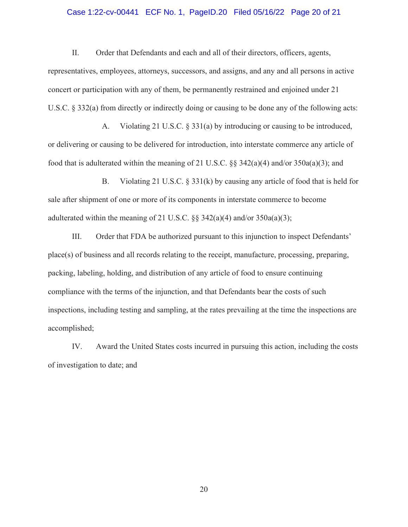## Case 1:22-cv-00441 ECF No. 1, PageID.20 Filed 05/16/22 Page 20 of 21

II. Order that Defendants and each and all of their directors, officers, agents, representatives, employees, attorneys, successors, and assigns, and any and all persons in active concert or participation with any of them, be permanently restrained and enjoined under 21 U.S.C. § 332(a) from directly or indirectly doing or causing to be done any of the following acts:

A. Violating 21 U.S.C. § 331(a) by introducing or causing to be introduced, or delivering or causing to be delivered for introduction, into interstate commerce any article of food that is adulterated within the meaning of 21 U.S.C. §§ 342(a)(4) and/or 350a(a)(3); and

B. Violating 21 U.S.C. § 331(k) by causing any article of food that is held for sale after shipment of one or more of its components in interstate commerce to become adulterated within the meaning of 21 U.S.C.  $\S$  342(a)(4) and/or 350a(a)(3);

III. Order that FDA be authorized pursuant to this injunction to inspect Defendants' place(s) of business and all records relating to the receipt, manufacture, processing, preparing, packing, labeling, holding, and distribution of any article of food to ensure continuing compliance with the terms of the injunction, and that Defendants bear the costs of such inspections, including testing and sampling, at the rates prevailing at the time the inspections are accomplished;

IV. Award the United States costs incurred in pursuing this action, including the costs of investigation to date; and